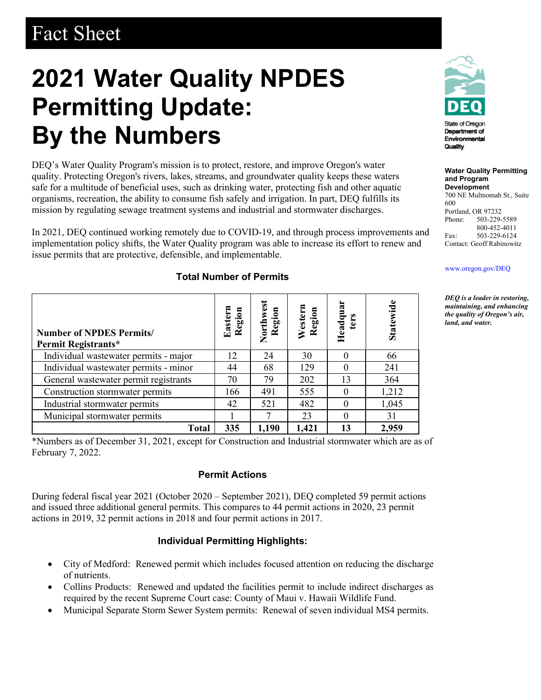## Fact Sheet

# **2021 Water Quality NPDES Permitting Update: By the Numbers**

DEQ's Water Quality Program's mission is to protect, restore, and improve Oregon's water quality. Protecting Oregon's rivers, lakes, streams, and groundwater quality keeps these waters safe for a multitude of beneficial uses, such as drinking water, protecting fish and other aquatic organisms, recreation, the ability to consume fish safely and irrigation. In part, DEQ fulfills its mission by regulating sewage treatment systems and industrial and stormwater discharges.

In 2021, DEQ continued working remotely due to COVID-19, and through process improvements and implementation policy shifts, the Water Quality program was able to increase its effort to renew and issue permits that are protective, defensible, and implementable.

| <b>Number of NPDES Permits/</b><br>Permit Registrants* | Eastern<br>Region | Northwest<br>Region | Western<br>Region | Headquar<br>ters | Statewide |
|--------------------------------------------------------|-------------------|---------------------|-------------------|------------------|-----------|
| Individual wastewater permits - major                  | 12                | 24                  | 30                |                  | 66        |
| Individual wastewater permits - minor                  | 44                | 68                  | 129               | $\Omega$         | 241       |
| General wastewater permit registrants                  | 70                | 79                  | 202               | 13               | 364       |
| Construction stormwater permits                        | 166               | 491                 | 555               |                  | 1,212     |
| Industrial stormwater permits                          | 42                | 521                 | 482               |                  | 1,045     |
| Municipal stormwater permits                           |                   |                     | 23                |                  | 31        |
| Total                                                  | 335               | 1,190               | 1,421             | 13               | 2,959     |

#### **Total Number of Permits**

\*Numbers as of December 31, 2021, except for Construction and Industrial stormwater which are as of February 7, 2022.

#### **Permit Actions**

During federal fiscal year 2021 (October 2020 – September 2021), DEQ completed 59 permit actions and issued three additional general permits. This compares to 44 permit actions in 2020, 23 permit actions in 2019, 32 permit actions in 2018 and four permit actions in 2017.

#### **Individual Permitting Highlights:**

- City of Medford: Renewed permit which includes focused attention on reducing the discharge of nutrients.
- Collins Products: Renewed and updated the facilities permit to include indirect discharges as required by the recent Supreme Court case: County of Maui v. Hawaii Wildlife Fund.
- Municipal Separate Storm Sewer System permits: Renewal of seven individual MS4 permits.



Department of Environmental Quality

**Water Quality Permitting and Program Development**

700 NE Multnomah St., Suite 600 Portland, OR 97232<br>Phone: 503-229-503-229-5589 800-452-4011 Fax: 503-229-6124 Contact: Geoff Rabinowitz

#### [www.oregon.gov/DEQ](file://deq001/templates/General/www.oregon.gov/DEQ)

*DEQ is a leader in restoring, maintaining, and enhancing the quality of Oregon's air, land, and water.*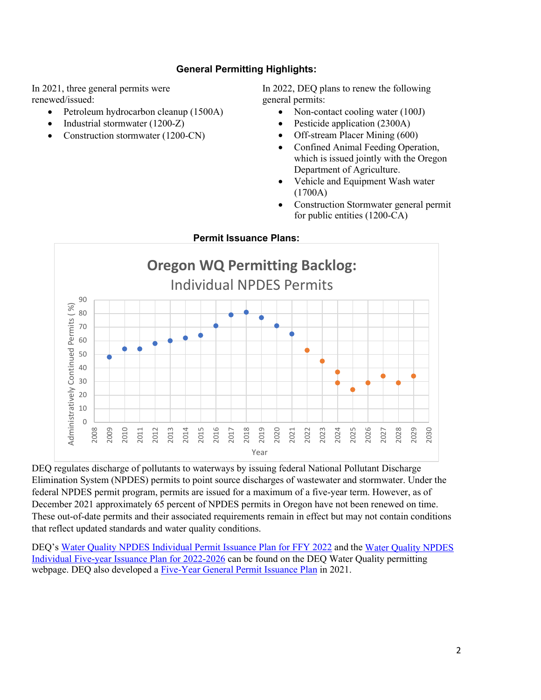#### **General Permitting Highlights:**

In 2021, three general permits were renewed/issued:

- Petroleum hydrocarbon cleanup (1500A)
- Industrial stormwater (1200-Z)
- Construction stormwater (1200-CN)

In 2022, DEQ plans to renew the following general permits:

- Non-contact cooling water (100J)
- Pesticide application (2300A)
- Off-stream Placer Mining (600)
- Confined Animal Feeding Operation, which is issued jointly with the Oregon Department of Agriculture.
- Vehicle and Equipment Wash water (1700A)
- Construction Stormwater general permit for public entities (1200-CA)



DEQ regulates discharge of pollutants to waterways by issuing federal National Pollutant Discharge Elimination System (NPDES) permits to point source discharges of wastewater and stormwater. Under the federal NPDES permit program, permits are issued for a maximum of a five-year term. However, as of December 2021 approximately 65 percent of NPDES permits in Oregon have not been renewed on time. These out-of-date permits and their associated requirements remain in effect but may not contain conditions that reflect updated standards and water quality conditions.

DEQ's [Water Quality NPDES Individual Permit Issuance Plan for FFY 2022](https://www.oregon.gov/deq/wq/Documents/wqpPIP2022.pdf) and the [Water Quality NPDES](https://www.oregon.gov/deq/wq/Documents/wqp5yrPIP.pdf)  [Individual Five-year Issuance Plan for 2022-2026](https://www.oregon.gov/deq/wq/Documents/wqp5yrPIP.pdf) can be found on the DEQ Water Quality permitting webpage. DEQ also developed a [Five-Year General Permit Issuance Plan](https://www.oregon.gov/deq/FilterDocs/wqpNPDESpip2020.pdf) in 2021.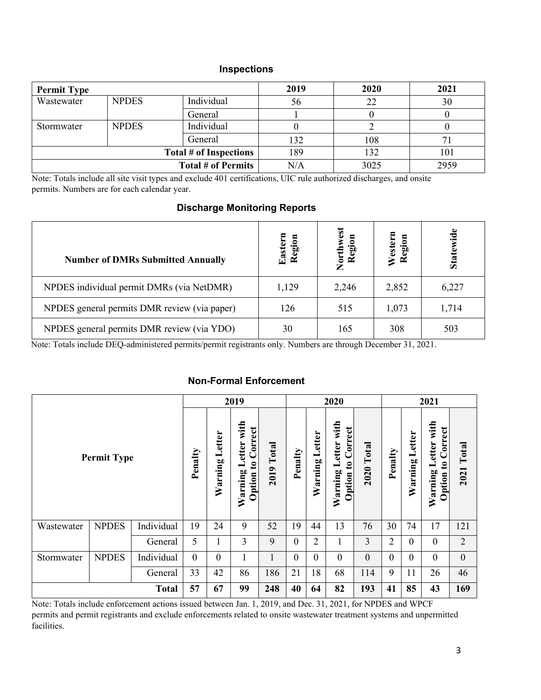#### **Inspections**

| <b>Permit Type</b> |              |                           | 2019 | 2020 | 2021 |  |
|--------------------|--------------|---------------------------|------|------|------|--|
| Wastewater         | <b>NPDES</b> | Individual                | 56   | 22   | 30   |  |
|                    |              | General                   |      |      |      |  |
| Stormwater         | <b>NPDES</b> | Individual                |      |      |      |  |
|                    |              | General                   | 132  | 108  |      |  |
|                    |              | Total # of Inspections    | 189  | 132  | 101  |  |
|                    |              | <b>Total # of Permits</b> | N/A  | 3025 | 2959 |  |

Note: Totals include all site visit types and exclude 401 certifications, UIC rule authorized discharges, and onsite permits. Numbers are for each calendar year.

#### **Discharge Monitoring Reports**

| <b>Number of DMRs Submitted Annually</b>     | <b>Eastern</b><br>Region | Northwest<br>Region | Western<br>Region | Statewide |
|----------------------------------------------|--------------------------|---------------------|-------------------|-----------|
| NPDES individual permit DMRs (via NetDMR)    | 1,129                    | 2,246               | 2,852             | 6,227     |
| NPDES general permits DMR review (via paper) | 126                      | 515                 | 1,073             | 1,714     |
| NPDES general permits DMR review (via YDO)   | 30                       | 165                 | 308               | 503       |

Note: Totals include DEQ-administered permits/permit registrants only. Numbers are through December 31, 2021.

### **Non-Formal Enforcement**

|                    |              |            |                | 2019              |                                                   |               | 2020         |                   |                                                    | 2021             |                  |                   |                                                             |                   |
|--------------------|--------------|------------|----------------|-------------------|---------------------------------------------------|---------------|--------------|-------------------|----------------------------------------------------|------------------|------------------|-------------------|-------------------------------------------------------------|-------------------|
| <b>Permit Type</b> |              |            | Penalty        | Letter<br>Warning | with<br>to Correct<br>Letter<br>Warning<br>Option | Total<br>2019 | Penalty      | Letter<br>Warning | Letter with<br><b>Option to Correct</b><br>Warning | $2020$ Total     | Penalty          | Letter<br>Warning | Letter with<br>Correct<br>$\mathbf{c}$<br>Warning<br>Option | <b>2021 Total</b> |
| Wastewater         | <b>NPDES</b> | Individual | 19             | 24                | 9                                                 | 52            | 19           | 44                | 13                                                 | 76               | 30               | 74                | 17                                                          | 121               |
|                    |              | General    | 5              |                   | 3                                                 | 9             | $\mathbf{0}$ | 2                 |                                                    | 3                | $\overline{2}$   | $\overline{0}$    | $\overline{0}$                                              | $\overline{2}$    |
| Stormwater         | <b>NPDES</b> | Individual | $\overline{0}$ | $\mathbf{0}$      |                                                   | 1             | $\mathbf{0}$ | $\mathbf{0}$      | $\mathbf{0}$                                       | $\boldsymbol{0}$ | $\boldsymbol{0}$ | $\mathbf{0}$      | $\overline{0}$                                              | $\mathbf{0}$      |
|                    |              | General    | 33             | 42                | 86                                                | 186           | 21           | 18                | 68                                                 | 114              | 9                | 11                | 26                                                          | 46                |
| <b>Total</b>       |              |            |                | 67                | 99                                                | 248           | 40           | 64                | 82                                                 | 193              | 41               | 85                | 43                                                          | 169               |

Note: Totals include enforcement actions issued between Jan. 1, 2019, and Dec. 31, 2021, for NPDES and WPCF permits and permit registrants and exclude enforcements related to onsite wastewater treatment systems and unpermitted facilities.